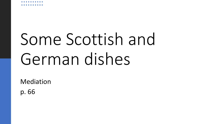## Some Scottish and German dishes

Mediation

p. 66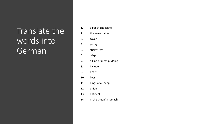## Translate the words into German

| 1.  | a bar of chocolate     |
|-----|------------------------|
| 2.  | the same batter        |
| 3.  | cover                  |
| 4.  | gooey                  |
| 5.  | sticky treat           |
| 6.  | crisp                  |
| 7.  | a kind of meat pudding |
| 8.  | include                |
| 9.  | heart                  |
| 10. | liver                  |
| 11. | lungs of a sheep       |
| 12. | onion                  |
| 13. | oatmeal                |
| 14. | in the sheep's stomach |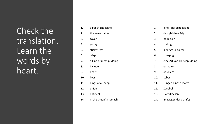Check the translation. Learn the words by heart.

| 1.  | a bar of chocolate     |
|-----|------------------------|
| 2.  | the same batter        |
| 3.  | cover                  |
| 4.  | gooey                  |
| 5.  | sticky treat           |
| 6.  | crisp                  |
| 7.  | a kind of meat pudding |
| 8.  | include                |
| 9.  | heart                  |
| 10. | liver                  |
| 11. | lungs of a sheep       |
| 12. | onion                  |
| 13. | oatmeal                |
| 14. | in the sheep's stomach |

| 1.  | eine Tafel Schokolade       |
|-----|-----------------------------|
| 2.  | den gleichen Teig           |
| 3.  | bedecken                    |
| 4.  | klebrig                     |
| 5.  | klebrige Leckerei           |
| 6.  | knusprig                    |
| 7.  | eine Art von Fleischpudding |
| 8.  | enthalten                   |
| 9.  | das Herz                    |
| 10. | Leber                       |
| 11. | Lungen eines Schafes        |
| 12. | Zwiebel                     |
| 13. | Haferflocken                |
| 14. | im Magen des Schafes        |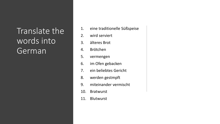## Translate the words into German

- 1. eine traditionelle Süßspeise
- 2. wird serviert
- 3. älteres Brot
- 4. Brötchen
- 5. vermengen
- 6. im Ofen gebacken
- 7. ein beliebtes Gericht
- 8. werden gestmpft
- 9. miteinander vermischt
- 10. Bratwurst
- 11. Blutwurst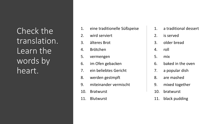Check the translation. Learn the words by heart.

- 1. eine traditionelle Süßspeise
- 2. wird serviert
- 3. älteres Brot
- 4. Brötchen
- 5. vermengen
- 6. im Ofen gebacken
- 7. ein beliebtes Gericht
- 8. werden gestmpft
- 9. miteinander vermischt
- 10. Bratwurst
- 11. Blutwurst
- 1. a traditional dessert
- 2. is served
- 3. older bread
- 4. roll
- 5. mix
- 6. baked in the oven
- 7. a popular dish
- 8. are mashed
- 9. mixed together
- 10. bratwurst
- 11. black pudding